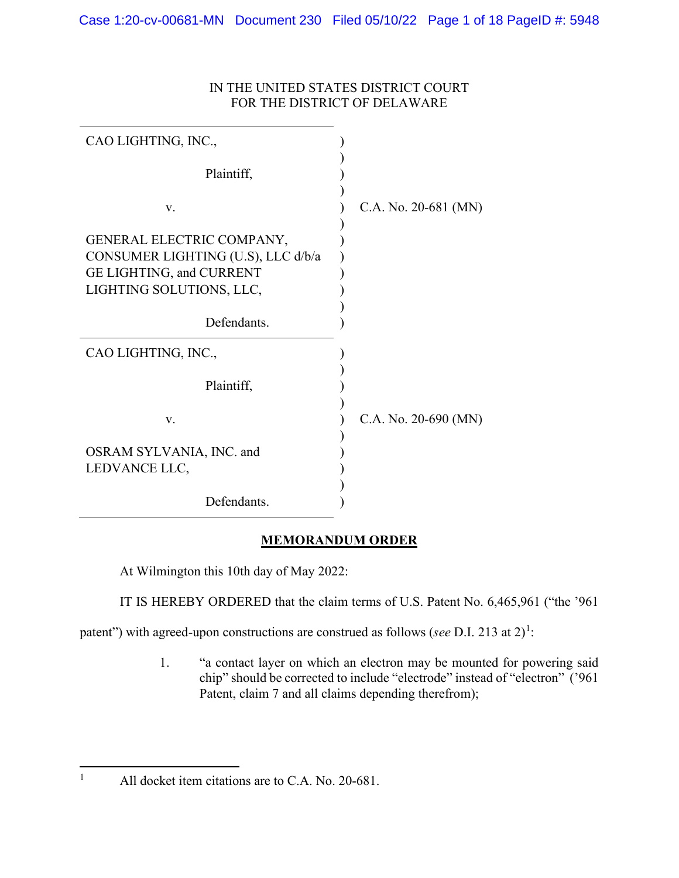| IN THE UNITED STATES DISTRICT COURT |
|-------------------------------------|
| FOR THE DISTRICT OF DELAWARE        |

| CAO LIGHTING, INC.,                                                                                                     |                        |
|-------------------------------------------------------------------------------------------------------------------------|------------------------|
| Plaintiff,                                                                                                              |                        |
| V.                                                                                                                      | C.A. No. 20-681 (MN)   |
| GENERAL ELECTRIC COMPANY,<br>CONSUMER LIGHTING (U.S), LLC d/b/a<br>GE LIGHTING, and CURRENT<br>LIGHTING SOLUTIONS, LLC, |                        |
| Defendants.                                                                                                             |                        |
| CAO LIGHTING, INC.,                                                                                                     |                        |
| Plaintiff,                                                                                                              |                        |
| V.                                                                                                                      | C.A. No. $20-690$ (MN) |
| OSRAM SYLVANIA, INC. and<br>LEDVANCE LLC,                                                                               |                        |
| Defendants.                                                                                                             |                        |

# **MEMORANDUM ORDER**

At Wilmington this 10th day of May 2022:

IT IS HEREBY ORDERED that the claim terms of U.S. Patent No. 6,465,961 ("the '961

patent") with agreed-upon constructions are construed as follows (*see* D.I. 2[1](#page-0-0)3 at 2)<sup>1</sup>:

1. "a contact layer on which an electron may be mounted for powering said chip" should be corrected to include "electrode" instead of "electron" ('961 Patent, claim 7 and all claims depending therefrom);

<span id="page-0-0"></span><sup>&</sup>lt;sup>1</sup> All docket item citations are to C.A. No. 20-681.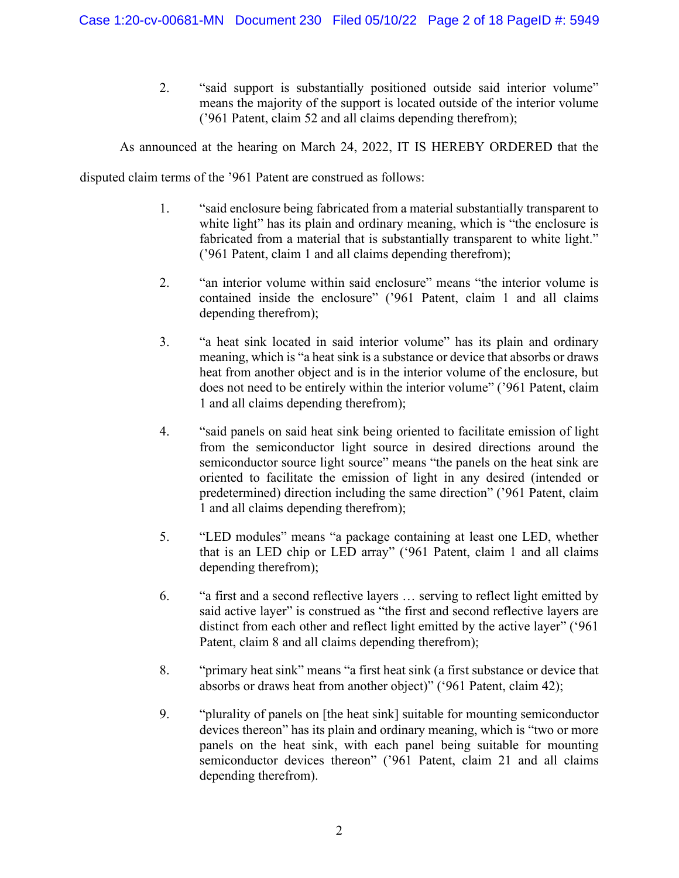2. "said support is substantially positioned outside said interior volume" means the majority of the support is located outside of the interior volume ('961 Patent, claim 52 and all claims depending therefrom);

As announced at the hearing on March 24, 2022, IT IS HEREBY ORDERED that the

disputed claim terms of the '961 Patent are construed as follows:

- 1. "said enclosure being fabricated from a material substantially transparent to white light" has its plain and ordinary meaning, which is "the enclosure is fabricated from a material that is substantially transparent to white light." ('961 Patent, claim 1 and all claims depending therefrom);
- 2. "an interior volume within said enclosure" means "the interior volume is contained inside the enclosure" ('961 Patent, claim 1 and all claims depending therefrom);
- 3. "a heat sink located in said interior volume" has its plain and ordinary meaning, which is "a heat sink is a substance or device that absorbs or draws heat from another object and is in the interior volume of the enclosure, but does not need to be entirely within the interior volume" ('961 Patent, claim 1 and all claims depending therefrom);
- 4. "said panels on said heat sink being oriented to facilitate emission of light from the semiconductor light source in desired directions around the semiconductor source light source" means "the panels on the heat sink are oriented to facilitate the emission of light in any desired (intended or predetermined) direction including the same direction" ('961 Patent, claim 1 and all claims depending therefrom);
- 5. "LED modules" means "a package containing at least one LED, whether that is an LED chip or LED array" ('961 Patent, claim 1 and all claims depending therefrom);
- 6. "a first and a second reflective layers … serving to reflect light emitted by said active layer" is construed as "the first and second reflective layers are distinct from each other and reflect light emitted by the active layer" ('961 Patent, claim 8 and all claims depending therefrom);
- 8. "primary heat sink" means "a first heat sink (a first substance or device that absorbs or draws heat from another object)" ('961 Patent, claim 42);
- 9. "plurality of panels on [the heat sink] suitable for mounting semiconductor devices thereon" has its plain and ordinary meaning, which is "two or more panels on the heat sink, with each panel being suitable for mounting semiconductor devices thereon" ('961 Patent, claim 21 and all claims depending therefrom).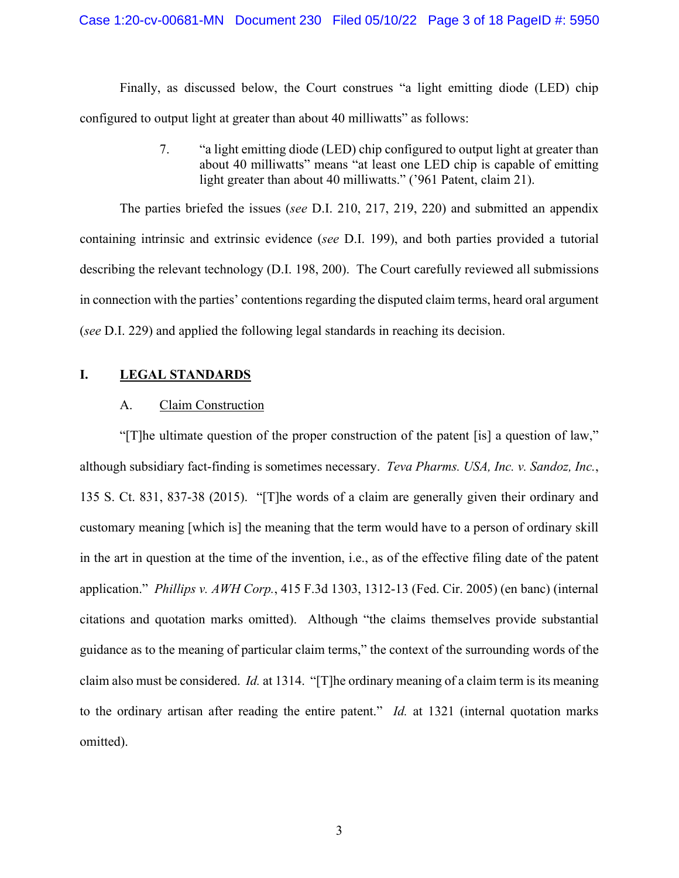Finally, as discussed below, the Court construes "a light emitting diode (LED) chip configured to output light at greater than about 40 milliwatts" as follows:

> 7. "a light emitting diode (LED) chip configured to output light at greater than about 40 milliwatts" means "at least one LED chip is capable of emitting light greater than about 40 milliwatts." ('961 Patent, claim 21).

The parties briefed the issues (*see* D.I. 210, 217, 219, 220) and submitted an appendix containing intrinsic and extrinsic evidence (*see* D.I. 199), and both parties provided a tutorial describing the relevant technology (D.I. 198, 200). The Court carefully reviewed all submissions in connection with the parties' contentions regarding the disputed claim terms, heard oral argument (*see* D.I. 229) and applied the following legal standards in reaching its decision.

## **I. LEGAL STANDARDS**

## A. Claim Construction

"[T]he ultimate question of the proper construction of the patent [is] a question of law," although subsidiary fact-finding is sometimes necessary. *Teva Pharms. USA, Inc. v. Sandoz, Inc.*, 135 S. Ct. 831, 837-38 (2015). "[T]he words of a claim are generally given their ordinary and customary meaning [which is] the meaning that the term would have to a person of ordinary skill in the art in question at the time of the invention, i.e., as of the effective filing date of the patent application." *Phillips v. AWH Corp.*, 415 F.3d 1303, 1312-13 (Fed. Cir. 2005) (en banc) (internal citations and quotation marks omitted). Although "the claims themselves provide substantial guidance as to the meaning of particular claim terms," the context of the surrounding words of the claim also must be considered. *Id.* at 1314. "[T]he ordinary meaning of a claim term is its meaning to the ordinary artisan after reading the entire patent." *Id.* at 1321 (internal quotation marks omitted).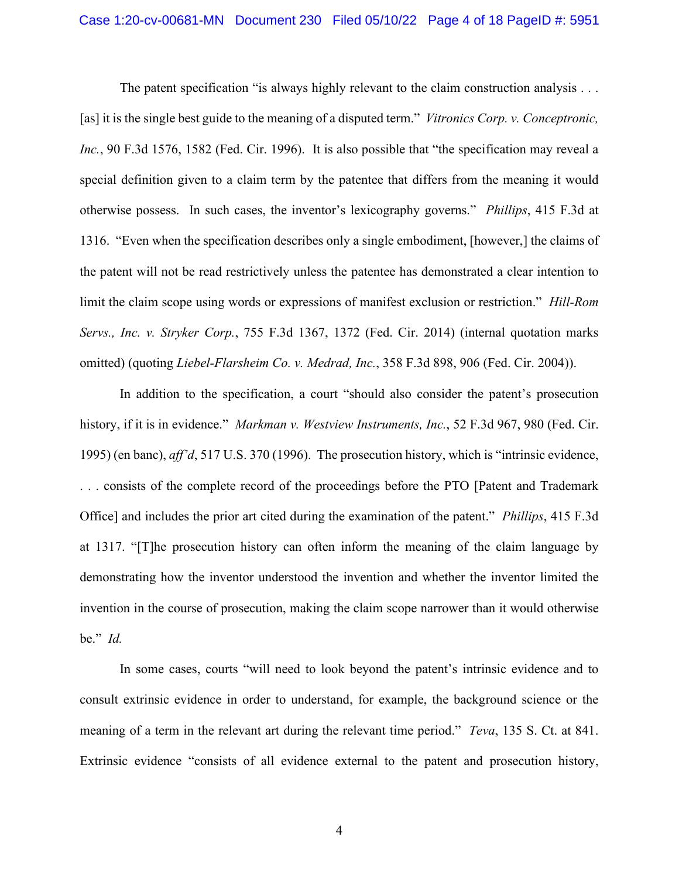The patent specification "is always highly relevant to the claim construction analysis . . . [as] it is the single best guide to the meaning of a disputed term." *Vitronics Corp. v. Conceptronic, Inc.*, 90 F.3d 1576, 1582 (Fed. Cir. 1996). It is also possible that "the specification may reveal a special definition given to a claim term by the patentee that differs from the meaning it would otherwise possess. In such cases, the inventor's lexicography governs." *Phillips*, 415 F.3d at 1316. "Even when the specification describes only a single embodiment, [however,] the claims of the patent will not be read restrictively unless the patentee has demonstrated a clear intention to limit the claim scope using words or expressions of manifest exclusion or restriction." *Hill-Rom Servs., Inc. v. Stryker Corp.*, 755 F.3d 1367, 1372 (Fed. Cir. 2014) (internal quotation marks omitted) (quoting *Liebel-Flarsheim Co. v. Medrad, Inc.*, 358 F.3d 898, 906 (Fed. Cir. 2004)).

In addition to the specification, a court "should also consider the patent's prosecution history, if it is in evidence." *Markman v. Westview Instruments, Inc.*, 52 F.3d 967, 980 (Fed. Cir. 1995) (en banc), *aff'd*, 517 U.S. 370 (1996). The prosecution history, which is "intrinsic evidence, . . . consists of the complete record of the proceedings before the PTO [Patent and Trademark Office] and includes the prior art cited during the examination of the patent." *Phillips*, 415 F.3d at 1317. "[T]he prosecution history can often inform the meaning of the claim language by demonstrating how the inventor understood the invention and whether the inventor limited the invention in the course of prosecution, making the claim scope narrower than it would otherwise be." *Id.*

In some cases, courts "will need to look beyond the patent's intrinsic evidence and to consult extrinsic evidence in order to understand, for example, the background science or the meaning of a term in the relevant art during the relevant time period." *Teva*, 135 S. Ct. at 841. Extrinsic evidence "consists of all evidence external to the patent and prosecution history,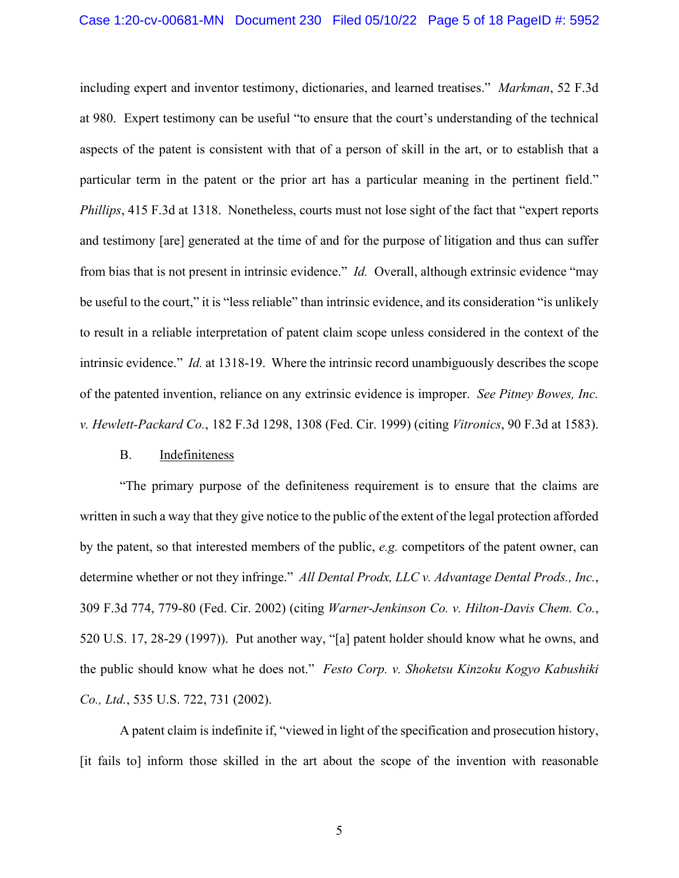including expert and inventor testimony, dictionaries, and learned treatises." *Markman*, 52 F.3d at 980. Expert testimony can be useful "to ensure that the court's understanding of the technical aspects of the patent is consistent with that of a person of skill in the art, or to establish that a particular term in the patent or the prior art has a particular meaning in the pertinent field." *Phillips*, 415 F.3d at 1318. Nonetheless, courts must not lose sight of the fact that "expert reports" and testimony [are] generated at the time of and for the purpose of litigation and thus can suffer from bias that is not present in intrinsic evidence." *Id.* Overall, although extrinsic evidence "may be useful to the court," it is "less reliable" than intrinsic evidence, and its consideration "is unlikely to result in a reliable interpretation of patent claim scope unless considered in the context of the intrinsic evidence." *Id.* at 1318-19. Where the intrinsic record unambiguously describes the scope of the patented invention, reliance on any extrinsic evidence is improper. *See Pitney Bowes, Inc. v. Hewlett-Packard Co.*, 182 F.3d 1298, 1308 (Fed. Cir. 1999) (citing *Vitronics*, 90 F.3d at 1583).

### B. Indefiniteness

"The primary purpose of the definiteness requirement is to ensure that the claims are written in such a way that they give notice to the public of the extent of the legal protection afforded by the patent, so that interested members of the public, *e.g.* competitors of the patent owner, can determine whether or not they infringe." *All Dental Prodx, LLC v. Advantage Dental Prods., Inc.*, 309 F.3d 774, 779-80 (Fed. Cir. 2002) (citing *Warner-Jenkinson Co. v. Hilton-Davis Chem. Co.*, 520 U.S. 17, 28-29 (1997)). Put another way, "[a] patent holder should know what he owns, and the public should know what he does not." *Festo Corp. v. Shoketsu Kinzoku Kogyo Kabushiki Co., Ltd.*, 535 U.S. 722, 731 (2002).

A patent claim is indefinite if, "viewed in light of the specification and prosecution history, [it fails to] inform those skilled in the art about the scope of the invention with reasonable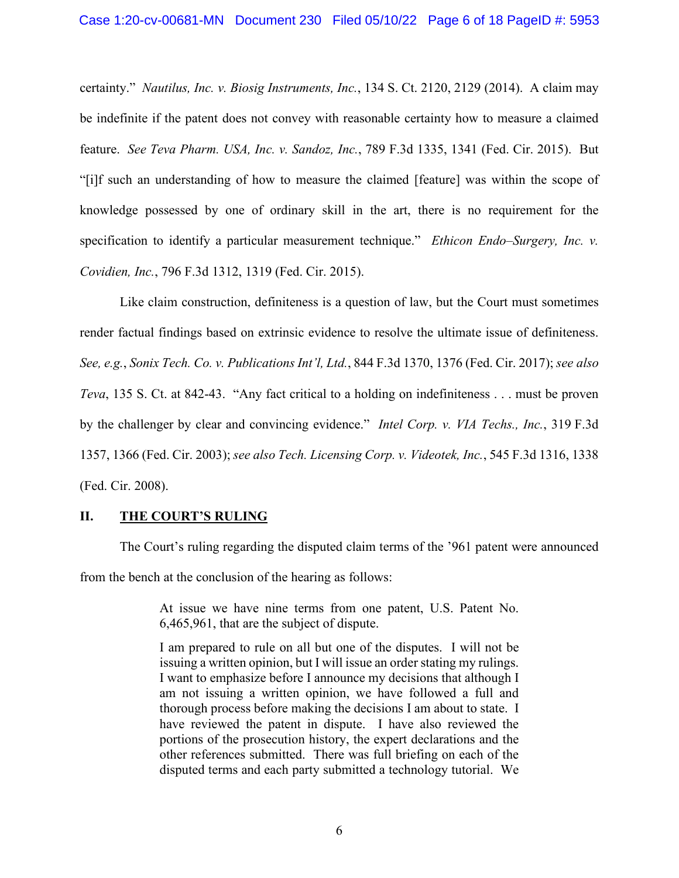certainty." *Nautilus, Inc. v. Biosig Instruments, Inc.*, 134 S. Ct. 2120, 2129 (2014). A claim may be indefinite if the patent does not convey with reasonable certainty how to measure a claimed feature. *See Teva Pharm. USA, Inc. v. Sandoz, Inc.*, 789 F.3d 1335, 1341 (Fed. Cir. 2015). But "[i]f such an understanding of how to measure the claimed [feature] was within the scope of knowledge possessed by one of ordinary skill in the art, there is no requirement for the specification to identify a particular measurement technique." *Ethicon Endo–Surgery, Inc. v. Covidien, Inc.*, 796 F.3d 1312, 1319 (Fed. Cir. 2015).

Like claim construction, definiteness is a question of law, but the Court must sometimes render factual findings based on extrinsic evidence to resolve the ultimate issue of definiteness. *See, e.g.*, *Sonix Tech. Co. v. Publications Int'l, Ltd.*, 844 F.3d 1370, 1376 (Fed. Cir. 2017); *see also Teva*, 135 S. Ct. at 842-43. "Any fact critical to a holding on indefiniteness . . . must be proven by the challenger by clear and convincing evidence." *Intel Corp. v. VIA Techs., Inc.*, 319 F.3d 1357, 1366 (Fed. Cir. 2003); *see also Tech. Licensing Corp. v. Videotek, Inc.*, 545 F.3d 1316, 1338 (Fed. Cir. 2008).

#### **II. THE COURT'S RULING**

The Court's ruling regarding the disputed claim terms of the '961 patent were announced from the bench at the conclusion of the hearing as follows:

> At issue we have nine terms from one patent, U.S. Patent No. 6,465,961, that are the subject of dispute.

> I am prepared to rule on all but one of the disputes. I will not be issuing a written opinion, but I will issue an order stating my rulings. I want to emphasize before I announce my decisions that although I am not issuing a written opinion, we have followed a full and thorough process before making the decisions I am about to state. I have reviewed the patent in dispute. I have also reviewed the portions of the prosecution history, the expert declarations and the other references submitted. There was full briefing on each of the disputed terms and each party submitted a technology tutorial. We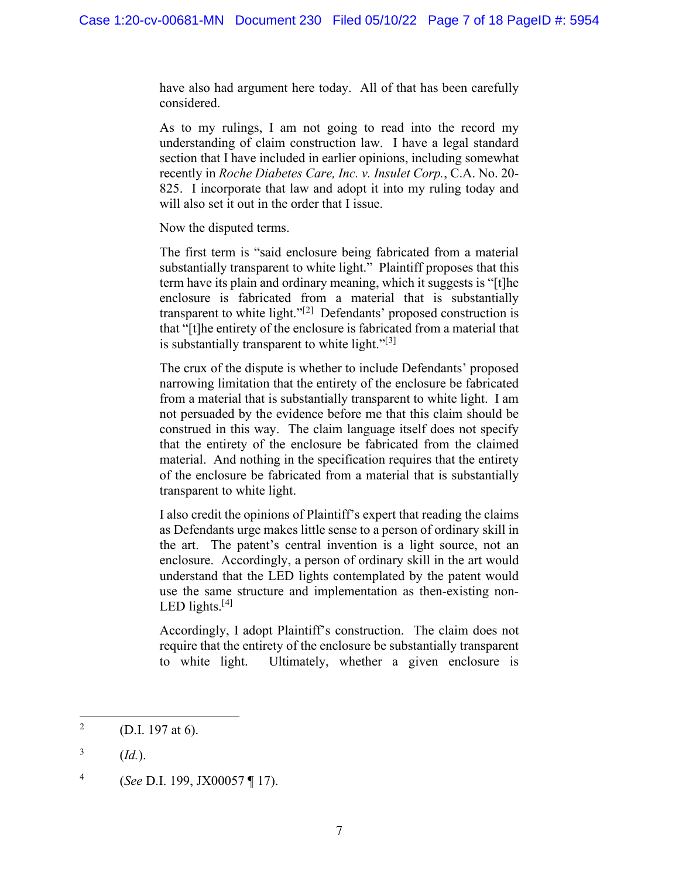have also had argument here today. All of that has been carefully considered.

As to my rulings, I am not going to read into the record my understanding of claim construction law. I have a legal standard section that I have included in earlier opinions, including somewhat recently in *Roche Diabetes Care, Inc. v. Insulet Corp.*, C.A. No. 20- 825. I incorporate that law and adopt it into my ruling today and will also set it out in the order that I issue.

Now the disputed terms.

The first term is "said enclosure being fabricated from a material substantially transparent to white light." Plaintiff proposes that this term have its plain and ordinary meaning, which it suggests is "[t]he enclosure is fabricated from a material that is substantially transparent to white light."<sup>[[2](#page-6-0)]</sup> Defendants' proposed construction is that "[t]he entirety of the enclosure is fabricated from a material that is substantially transparent to white light." $[3]$  $[3]$ 

The crux of the dispute is whether to include Defendants' proposed narrowing limitation that the entirety of the enclosure be fabricated from a material that is substantially transparent to white light. I am not persuaded by the evidence before me that this claim should be construed in this way. The claim language itself does not specify that the entirety of the enclosure be fabricated from the claimed material. And nothing in the specification requires that the entirety of the enclosure be fabricated from a material that is substantially transparent to white light.

I also credit the opinions of Plaintiff's expert that reading the claims as Defendants urge makes little sense to a person of ordinary skill in the art. The patent's central invention is a light source, not an enclosure. Accordingly, a person of ordinary skill in the art would understand that the LED lights contemplated by the patent would use the same structure and implementation as then-existing non-LED lights.<sup>[[4](#page-6-2)]</sup>

Accordingly, I adopt Plaintiff's construction. The claim does not require that the entirety of the enclosure be substantially transparent to white light. Ultimately, whether a given enclosure is

<span id="page-6-0"></span><sup>&</sup>lt;sup>2</sup> (D.I. 197 at 6).

<span id="page-6-1"></span> $3$  (*Id.*).

<span id="page-6-2"></span><sup>4</sup> (*See* D.I. 199, JX00057 ¶ 17).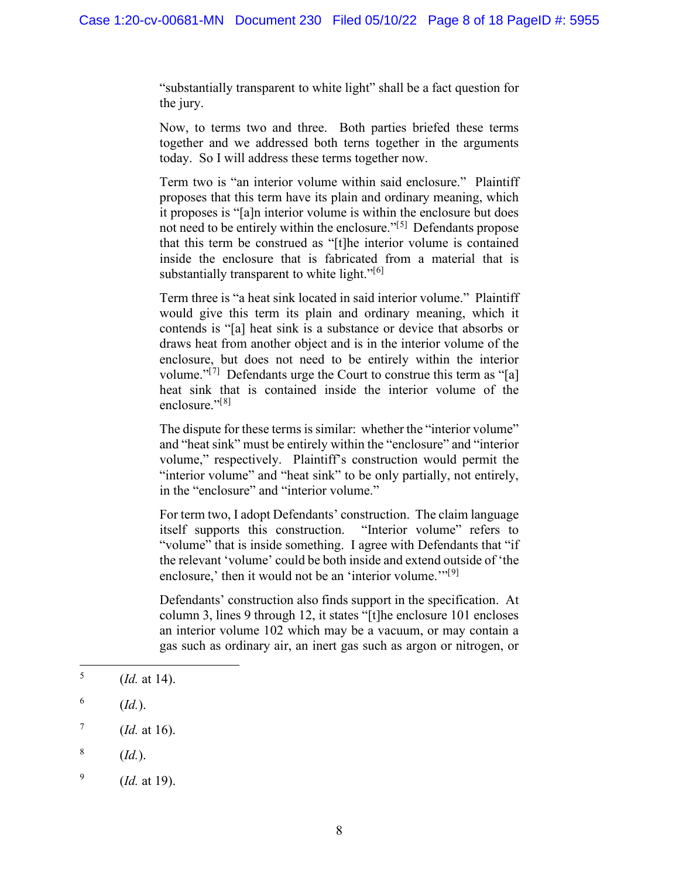"substantially transparent to white light" shall be a fact question for the jury.

Now, to terms two and three. Both parties briefed these terms together and we addressed both terns together in the arguments today. So I will address these terms together now.

Term two is "an interior volume within said enclosure." Plaintiff proposes that this term have its plain and ordinary meaning, which it proposes is "[a]n interior volume is within the enclosure but does not need to be entirely within the enclosure."<sup>[[5\]](#page-7-0)</sup> Defendants propose that this term be construed as "[t]he interior volume is contained inside the enclosure that is fabricated from a material that is substantially transparent to white light."<sup>[\[6\]](#page-7-1)</sup>

Term three is "a heat sink located in said interior volume." Plaintiff would give this term its plain and ordinary meaning, which it contends is "[a] heat sink is a substance or device that absorbs or draws heat from another object and is in the interior volume of the enclosure, but does not need to be entirely within the interior volume."<sup>[[7\]](#page-7-2)</sup> Defendants urge the Court to construe this term as "[a] heat sink that is contained inside the interior volume of the enclosure."<sup>[[8\]](#page-7-3)</sup>

The dispute for these terms is similar: whether the "interior volume" and "heat sink" must be entirely within the "enclosure" and "interior volume," respectively. Plaintiff's construction would permit the "interior volume" and "heat sink" to be only partially, not entirely, in the "enclosure" and "interior volume."

For term two, I adopt Defendants' construction. The claim language itself supports this construction. "Interior volume" refers to "volume" that is inside something. I agree with Defendants that "if the relevant 'volume' could be both inside and extend outside of 'the enclosure,' then it would not be an 'interior volume. $\mathcal{C}^{[9]}$  $\mathcal{C}^{[9]}$  $\mathcal{C}^{[9]}$ 

Defendants' construction also finds support in the specification. At column 3, lines 9 through 12, it states "[t]he enclosure 101 encloses an interior volume 102 which may be a vacuum, or may contain a gas such as ordinary air, an inert gas such as argon or nitrogen, or

<span id="page-7-0"></span> $^5$  (*Id.* at 14).

<span id="page-7-1"></span> $^6$  (*Id.*).

<span id="page-7-2"></span> $^7$  (*Id.* at 16).

<span id="page-7-3"></span> $\frac{8}{(1d.)}$ .

<span id="page-7-4"></span><sup>9</sup> (*Id.* at 19).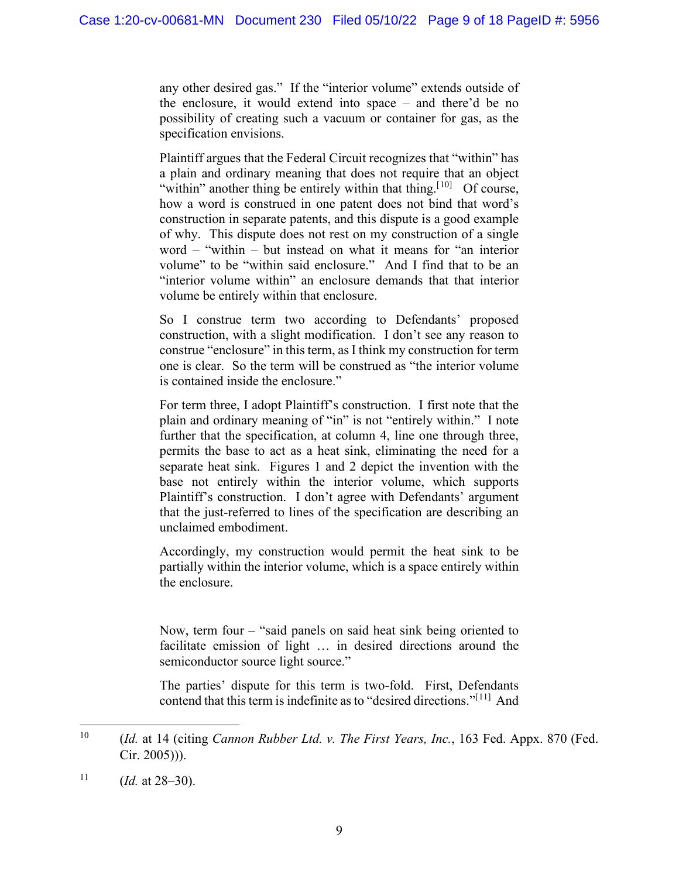any other desired gas." If the "interior volume" extends outside of the enclosure, it would extend into space – and there'd be no possibility of creating such a vacuum or container for gas, as the specification envisions.

Plaintiff argues that the Federal Circuit recognizes that "within" has a plain and ordinary meaning that does not require that an object "within" another thing be entirely within that thing.<sup>[[10](#page-8-0)]</sup> Of course, how a word is construed in one patent does not bind that word's construction in separate patents, and this dispute is a good example of why. This dispute does not rest on my construction of a single word – "within – but instead on what it means for "an interior volume" to be "within said enclosure." And I find that to be an "interior volume within" an enclosure demands that that interior volume be entirely within that enclosure.

So I construe term two according to Defendants' proposed construction, with a slight modification. I don't see any reason to construe "enclosure" in this term, as I think my construction for term one is clear. So the term will be construed as "the interior volume is contained inside the enclosure."

For term three, I adopt Plaintiff's construction. I first note that the plain and ordinary meaning of "in" is not "entirely within." I note further that the specification, at column 4, line one through three, permits the base to act as a heat sink, eliminating the need for a separate heat sink. Figures 1 and 2 depict the invention with the base not entirely within the interior volume, which supports Plaintiff's construction. I don't agree with Defendants' argument that the just-referred to lines of the specification are describing an unclaimed embodiment.

Accordingly, my construction would permit the heat sink to be partially within the interior volume, which is a space entirely within the enclosure.

Now, term four – "said panels on said heat sink being oriented to facilitate emission of light … in desired directions around the semiconductor source light source."

The parties' dispute for this term is two-fold. First, Defendants contend that this term is indefinite as to "desired directions."<sup>[[11](#page-8-1)]</sup> And

<span id="page-8-0"></span><sup>10</sup> (*Id.* at 14 (citing *Cannon Rubber Ltd. v. The First Years, Inc.*, 163 Fed. Appx. 870 (Fed. Cir. 2005))).

<span id="page-8-1"></span><sup>&</sup>lt;sup>11</sup> (*Id.* at  $28-30$ ).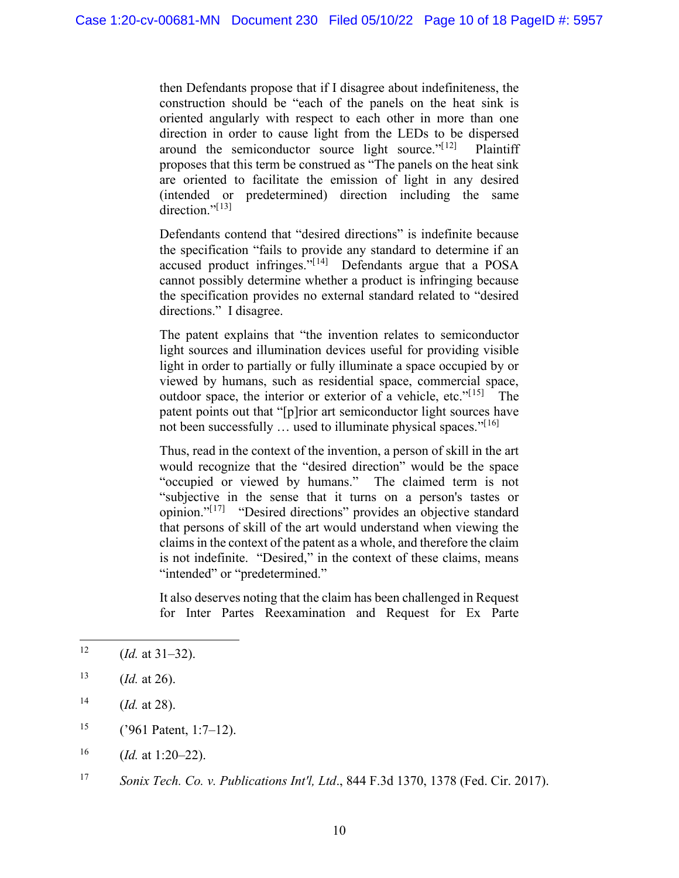then Defendants propose that if I disagree about indefiniteness, the construction should be "each of the panels on the heat sink is oriented angularly with respect to each other in more than one direction in order to cause light from the LEDs to be dispersed around the semiconductor source light source." $[12]$  $[12]$  $[12]$  Plaintiff proposes that this term be construed as "The panels on the heat sink are oriented to facilitate the emission of light in any desired (intended or predetermined) direction including the same direction."<sup>[[13](#page-9-1)]</sup>

Defendants contend that "desired directions" is indefinite because the specification "fails to provide any standard to determine if an accused product infringes."<sup>[[14](#page-9-2)]</sup> Defendants argue that a POSA cannot possibly determine whether a product is infringing because the specification provides no external standard related to "desired directions." I disagree.

The patent explains that "the invention relates to semiconductor light sources and illumination devices useful for providing visible light in order to partially or fully illuminate a space occupied by or viewed by humans, such as residential space, commercial space, outdoor space, the interior or exterior of a vehicle, etc."<sup>[[15\]](#page-9-3)</sup> The patent points out that "[p]rior art semiconductor light sources have not been successfully ... used to illuminate physical spaces."<sup>[[16\]](#page-9-4)</sup>

Thus, read in the context of the invention, a person of skill in the art would recognize that the "desired direction" would be the space "occupied or viewed by humans." The claimed term is not "subjective in the sense that it turns on a person's tastes or opinion."<sup>[[17](#page-9-5)]</sup> "Desired directions" provides an objective standard that persons of skill of the art would understand when viewing the claims in the context of the patent as a whole, and therefore the claim is not indefinite. "Desired," in the context of these claims, means "intended" or "predetermined."

It also deserves noting that the claim has been challenged in Request for Inter Partes Reexamination and Request for Ex Parte

<span id="page-9-0"></span><sup>&</sup>lt;sup>12</sup> (*Id.* at 31–32).

<span id="page-9-1"></span><sup>13</sup> (*Id.* at 26).

<span id="page-9-2"></span> $14$  *(Id. at 28).* 

<span id="page-9-3"></span><sup>&</sup>lt;sup>15</sup> ('961 Patent, 1:7–12).

<span id="page-9-4"></span><sup>16</sup> (*Id.* at 1:20–22).

<span id="page-9-5"></span><sup>17</sup> *Sonix Tech. Co. v. Publications Int'l, Ltd*., 844 F.3d 1370, 1378 (Fed. Cir. 2017).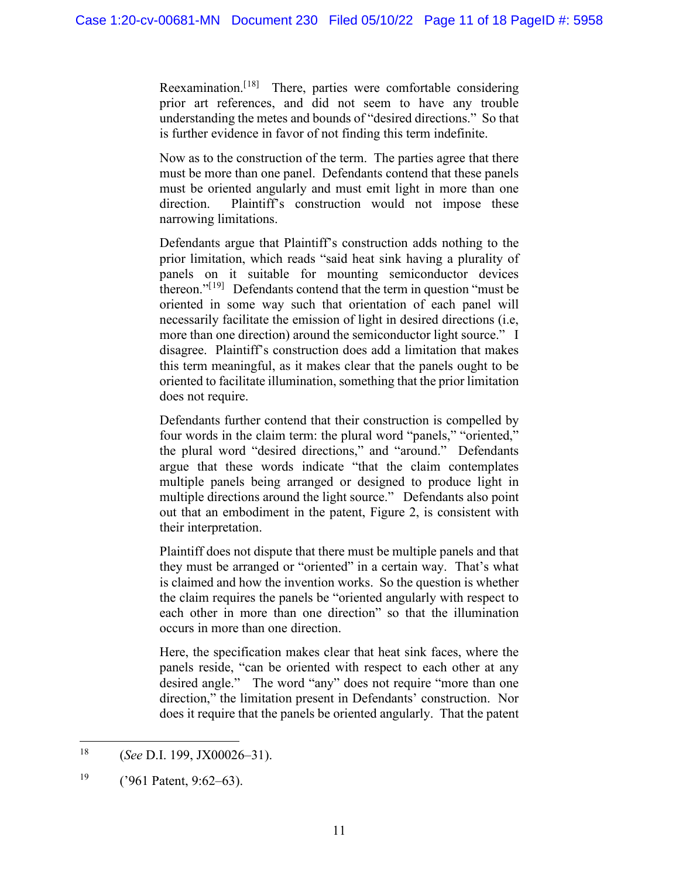Reexamination.<sup>[[18](#page-10-0)]</sup> There, parties were comfortable considering prior art references, and did not seem to have any trouble understanding the metes and bounds of "desired directions." So that is further evidence in favor of not finding this term indefinite.

Now as to the construction of the term. The parties agree that there must be more than one panel. Defendants contend that these panels must be oriented angularly and must emit light in more than one direction. Plaintiff's construction would not impose these narrowing limitations.

Defendants argue that Plaintiff's construction adds nothing to the prior limitation, which reads "said heat sink having a plurality of panels on it suitable for mounting semiconductor devices thereon."<sup>[[19\]](#page-10-1)</sup> Defendants contend that the term in question "must be oriented in some way such that orientation of each panel will necessarily facilitate the emission of light in desired directions (i.e, more than one direction) around the semiconductor light source." I disagree. Plaintiff's construction does add a limitation that makes this term meaningful, as it makes clear that the panels ought to be oriented to facilitate illumination, something that the prior limitation does not require.

Defendants further contend that their construction is compelled by four words in the claim term: the plural word "panels," "oriented," the plural word "desired directions," and "around." Defendants argue that these words indicate "that the claim contemplates multiple panels being arranged or designed to produce light in multiple directions around the light source." Defendants also point out that an embodiment in the patent, Figure 2, is consistent with their interpretation.

Plaintiff does not dispute that there must be multiple panels and that they must be arranged or "oriented" in a certain way. That's what is claimed and how the invention works. So the question is whether the claim requires the panels be "oriented angularly with respect to each other in more than one direction" so that the illumination occurs in more than one direction.

Here, the specification makes clear that heat sink faces, where the panels reside, "can be oriented with respect to each other at any desired angle." The word "any" does not require "more than one direction," the limitation present in Defendants' construction. Nor does it require that the panels be oriented angularly. That the patent

<span id="page-10-0"></span><sup>18</sup> (*See* D.I. 199, JX00026–31).

<span id="page-10-1"></span> $19$  ('961 Patent, 9:62–63).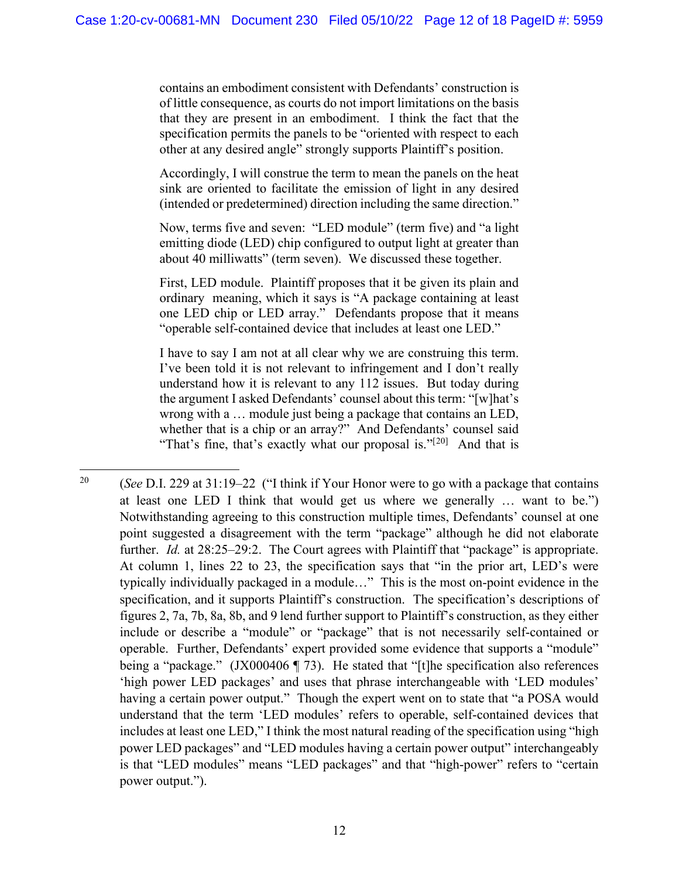contains an embodiment consistent with Defendants' construction is of little consequence, as courts do not import limitations on the basis that they are present in an embodiment. I think the fact that the specification permits the panels to be "oriented with respect to each other at any desired angle" strongly supports Plaintiff's position.

Accordingly, I will construe the term to mean the panels on the heat sink are oriented to facilitate the emission of light in any desired (intended or predetermined) direction including the same direction."

Now, terms five and seven: "LED module" (term five) and "a light emitting diode (LED) chip configured to output light at greater than about 40 milliwatts" (term seven). We discussed these together.

First, LED module. Plaintiff proposes that it be given its plain and ordinary meaning, which it says is "A package containing at least one LED chip or LED array." Defendants propose that it means "operable self-contained device that includes at least one LED."

I have to say I am not at all clear why we are construing this term. I've been told it is not relevant to infringement and I don't really understand how it is relevant to any 112 issues. But today during the argument I asked Defendants' counsel about this term: "[w]hat's wrong with a … module just being a package that contains an LED, whether that is a chip or an array?" And Defendants' counsel said "That's fine, that's exactly what our proposal is." $[20]$  $[20]$  And that is

<span id="page-11-0"></span><sup>20</sup> (*See* D.I. 229 at 31:19–22 ("I think if Your Honor were to go with a package that contains at least one LED I think that would get us where we generally … want to be.") Notwithstanding agreeing to this construction multiple times, Defendants' counsel at one point suggested a disagreement with the term "package" although he did not elaborate further. *Id.* at 28:25–29:2. The Court agrees with Plaintiff that "package" is appropriate. At column 1, lines 22 to 23, the specification says that "in the prior art, LED's were typically individually packaged in a module…" This is the most on-point evidence in the specification, and it supports Plaintiff's construction. The specification's descriptions of figures 2, 7a, 7b, 8a, 8b, and 9 lend further support to Plaintiff's construction, as they either include or describe a "module" or "package" that is not necessarily self-contained or operable. Further, Defendants' expert provided some evidence that supports a "module" being a "package." (JX000406 ¶ 73). He stated that "[t]he specification also references 'high power LED packages' and uses that phrase interchangeable with 'LED modules' having a certain power output." Though the expert went on to state that "a POSA would understand that the term 'LED modules' refers to operable, self-contained devices that includes at least one LED," I think the most natural reading of the specification using "high power LED packages" and "LED modules having a certain power output" interchangeably is that "LED modules" means "LED packages" and that "high-power" refers to "certain power output.").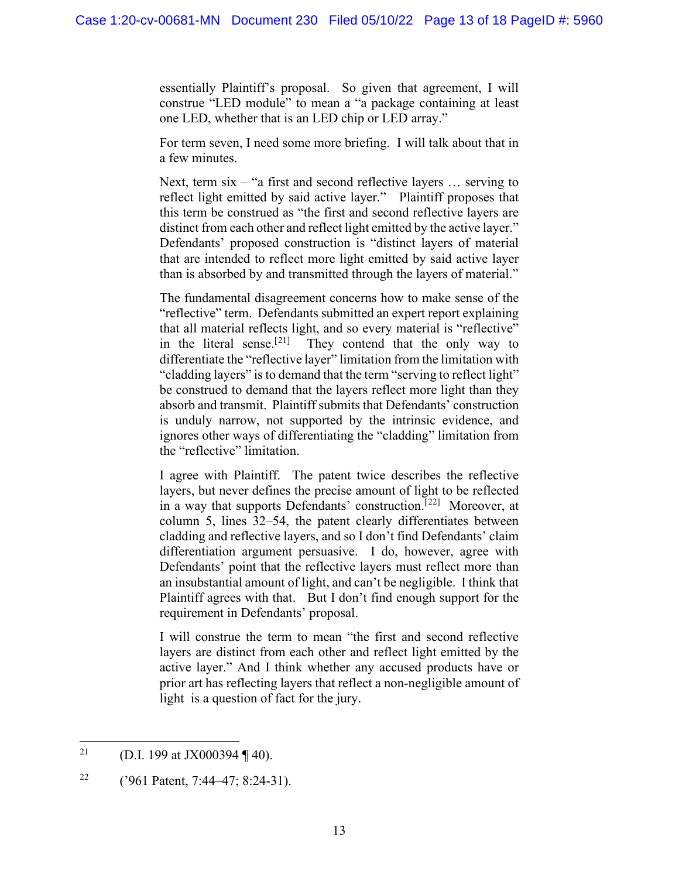essentially Plaintiff's proposal. So given that agreement, I will construe "LED module" to mean a "a package containing at least one LED, whether that is an LED chip or LED array."

For term seven, I need some more briefing. I will talk about that in a few minutes.

Next, term six – "a first and second reflective layers ... serving to reflect light emitted by said active layer." Plaintiff proposes that this term be construed as "the first and second reflective layers are distinct from each other and reflect light emitted by the active layer." Defendants' proposed construction is "distinct layers of material that are intended to reflect more light emitted by said active layer than is absorbed by and transmitted through the layers of material."

The fundamental disagreement concerns how to make sense of the "reflective" term. Defendants submitted an expert report explaining that all material reflects light, and so every material is "reflective" in the literal sense.<sup>[[21\]](#page-12-0)</sup> They contend that the only way to differentiate the "reflective layer" limitation from the limitation with "cladding layers" is to demand that the term "serving to reflect light" be construed to demand that the layers reflect more light than they absorb and transmit. Plaintiff submits that Defendants' construction is unduly narrow, not supported by the intrinsic evidence, and ignores other ways of differentiating the "cladding" limitation from the "reflective" limitation.

I agree with Plaintiff. The patent twice describes the reflective layers, but never defines the precise amount of light to be reflected in a way that supports Defendants' construction.<sup>[[22](#page-12-1)]</sup> Moreover, at column 5, lines 32–54, the patent clearly differentiates between cladding and reflective layers, and so I don't find Defendants' claim differentiation argument persuasive. I do, however, agree with Defendants' point that the reflective layers must reflect more than an insubstantial amount of light, and can't be negligible. I think that Plaintiff agrees with that. But I don't find enough support for the requirement in Defendants' proposal.

I will construe the term to mean "the first and second reflective layers are distinct from each other and reflect light emitted by the active layer." And I think whether any accused products have or prior art has reflecting layers that reflect a non-negligible amount of light is a question of fact for the jury.

<span id="page-12-0"></span><sup>&</sup>lt;sup>21</sup> (D.I. 199 at JX000394 ¶ 40).

<span id="page-12-1"></span><sup>&</sup>lt;sup>22</sup> ('961 Patent, 7:44–47; 8:24-31).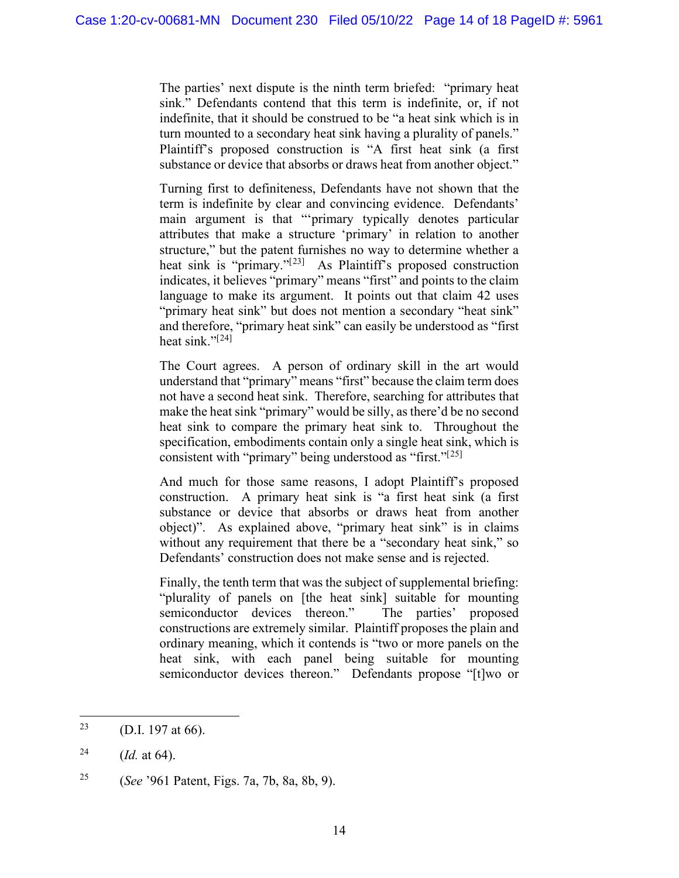The parties' next dispute is the ninth term briefed: "primary heat sink." Defendants contend that this term is indefinite, or, if not indefinite, that it should be construed to be "a heat sink which is in turn mounted to a secondary heat sink having a plurality of panels." Plaintiff's proposed construction is "A first heat sink (a first substance or device that absorbs or draws heat from another object."

Turning first to definiteness, Defendants have not shown that the term is indefinite by clear and convincing evidence. Defendants' main argument is that "'primary typically denotes particular attributes that make a structure 'primary' in relation to another structure," but the patent furnishes no way to determine whether a heat sink is "primary."<sup>[[23](#page-13-0)]</sup> As Plaintiff's proposed construction indicates, it believes "primary" means "first" and points to the claim language to make its argument. It points out that claim 42 uses "primary heat sink" but does not mention a secondary "heat sink" and therefore, "primary heat sink" can easily be understood as "first heat sink." $[24]$  $[24]$ 

The Court agrees. A person of ordinary skill in the art would understand that "primary" means "first" because the claim term does not have a second heat sink. Therefore, searching for attributes that make the heat sink "primary" would be silly, as there'd be no second heat sink to compare the primary heat sink to. Throughout the specification, embodiments contain only a single heat sink, which is consistent with "primary" being understood as "first."[[25](#page-13-2)]

And much for those same reasons, I adopt Plaintiff's proposed construction. A primary heat sink is "a first heat sink (a first substance or device that absorbs or draws heat from another object)". As explained above, "primary heat sink" is in claims without any requirement that there be a "secondary heat sink," so Defendants' construction does not make sense and is rejected.

Finally, the tenth term that was the subject of supplemental briefing: "plurality of panels on [the heat sink] suitable for mounting semiconductor devices thereon." The parties' proposed constructions are extremely similar. Plaintiff proposes the plain and ordinary meaning, which it contends is "two or more panels on the heat sink, with each panel being suitable for mounting semiconductor devices thereon." Defendants propose "[t]wo or

<span id="page-13-0"></span><sup>&</sup>lt;sup>23</sup> (D.I. 197 at 66).

<span id="page-13-1"></span><sup>&</sup>lt;sup>24</sup> (*Id.* at 64).

<span id="page-13-2"></span><sup>25</sup> (*See* '961 Patent, Figs. 7a, 7b, 8a, 8b, 9).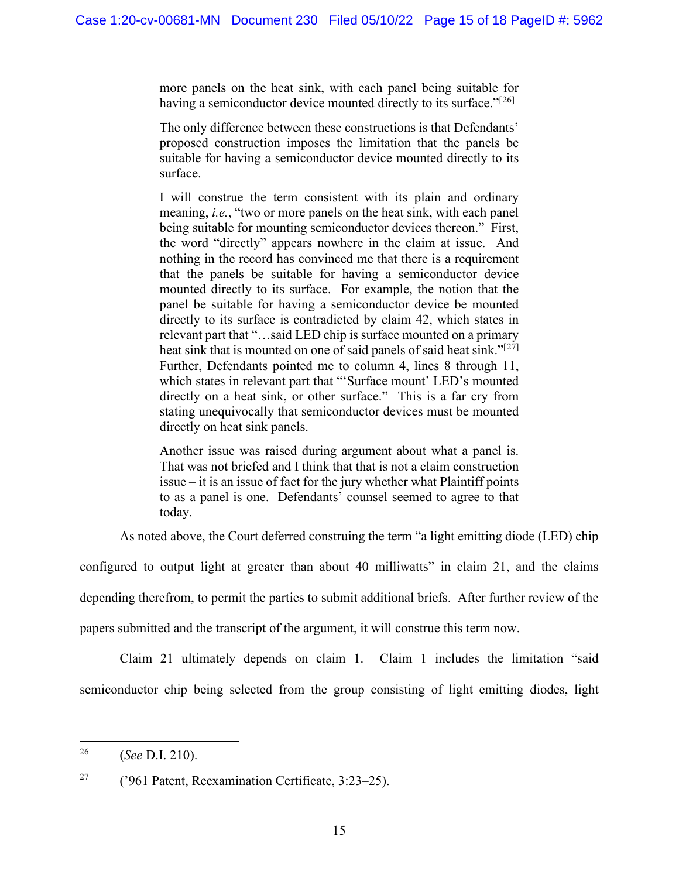more panels on the heat sink, with each panel being suitable for having a semiconductor device mounted directly to its surface."<sup>[[26\]](#page-14-0)</sup>

The only difference between these constructions is that Defendants' proposed construction imposes the limitation that the panels be suitable for having a semiconductor device mounted directly to its surface.

I will construe the term consistent with its plain and ordinary meaning, *i.e.*, "two or more panels on the heat sink, with each panel being suitable for mounting semiconductor devices thereon." First, the word "directly" appears nowhere in the claim at issue. And nothing in the record has convinced me that there is a requirement that the panels be suitable for having a semiconductor device mounted directly to its surface. For example, the notion that the panel be suitable for having a semiconductor device be mounted directly to its surface is contradicted by claim 42, which states in relevant part that "…said LED chip is surface mounted on a primary heat sink that is mounted on one of said panels of said heat sink."<sup>[[27](#page-14-1)]</sup> Further, Defendants pointed me to column 4, lines 8 through 11, which states in relevant part that "'Surface mount' LED's mounted directly on a heat sink, or other surface." This is a far cry from stating unequivocally that semiconductor devices must be mounted directly on heat sink panels.

Another issue was raised during argument about what a panel is. That was not briefed and I think that that is not a claim construction issue – it is an issue of fact for the jury whether what Plaintiff points to as a panel is one. Defendants' counsel seemed to agree to that today.

As noted above, the Court deferred construing the term "a light emitting diode (LED) chip

configured to output light at greater than about 40 milliwatts" in claim 21, and the claims

depending therefrom, to permit the parties to submit additional briefs. After further review of the

papers submitted and the transcript of the argument, it will construe this term now.

Claim 21 ultimately depends on claim 1. Claim 1 includes the limitation "said semiconductor chip being selected from the group consisting of light emitting diodes, light

<span id="page-14-0"></span><sup>26</sup> (*See* D.I. 210).

<span id="page-14-1"></span><sup>&</sup>lt;sup>27</sup> ('961 Patent, Reexamination Certificate,  $3:23-25$ ).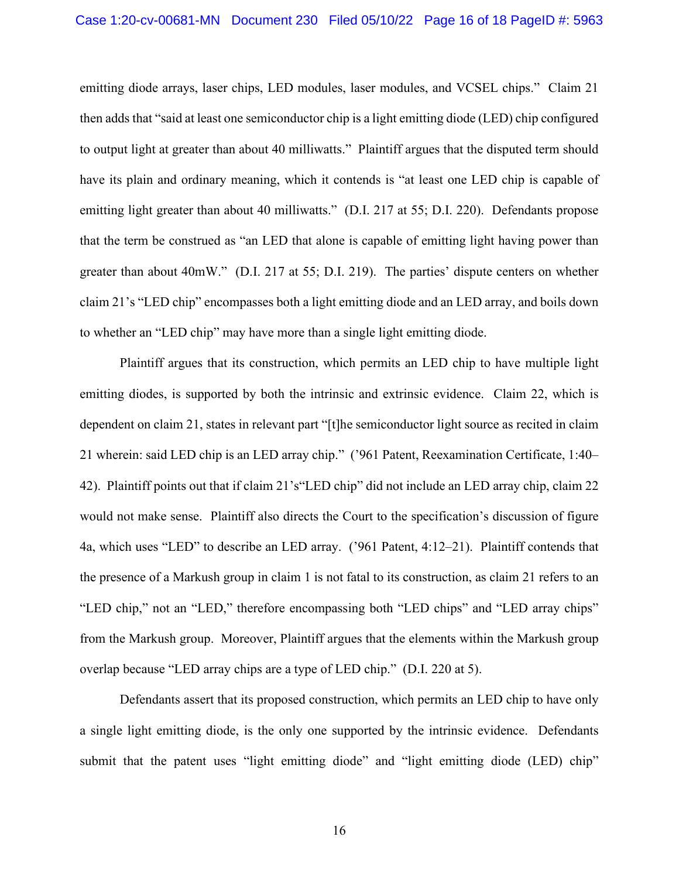emitting diode arrays, laser chips, LED modules, laser modules, and VCSEL chips." Claim 21 then adds that "said at least one semiconductor chip is a light emitting diode (LED) chip configured to output light at greater than about 40 milliwatts." Plaintiff argues that the disputed term should have its plain and ordinary meaning, which it contends is "at least one LED chip is capable of emitting light greater than about 40 milliwatts." (D.I. 217 at 55; D.I. 220). Defendants propose that the term be construed as "an LED that alone is capable of emitting light having power than greater than about 40mW." (D.I. 217 at 55; D.I. 219). The parties' dispute centers on whether claim 21's "LED chip" encompasses both a light emitting diode and an LED array, and boils down to whether an "LED chip" may have more than a single light emitting diode.

Plaintiff argues that its construction, which permits an LED chip to have multiple light emitting diodes, is supported by both the intrinsic and extrinsic evidence. Claim 22, which is dependent on claim 21, states in relevant part "[t]he semiconductor light source as recited in claim 21 wherein: said LED chip is an LED array chip." ('961 Patent, Reexamination Certificate, 1:40– 42). Plaintiff points out that if claim 21's"LED chip" did not include an LED array chip, claim 22 would not make sense. Plaintiff also directs the Court to the specification's discussion of figure 4a, which uses "LED" to describe an LED array. ('961 Patent, 4:12–21). Plaintiff contends that the presence of a Markush group in claim 1 is not fatal to its construction, as claim 21 refers to an "LED chip," not an "LED," therefore encompassing both "LED chips" and "LED array chips" from the Markush group. Moreover, Plaintiff argues that the elements within the Markush group overlap because "LED array chips are a type of LED chip." (D.I. 220 at 5).

Defendants assert that its proposed construction, which permits an LED chip to have only a single light emitting diode, is the only one supported by the intrinsic evidence. Defendants submit that the patent uses "light emitting diode" and "light emitting diode (LED) chip"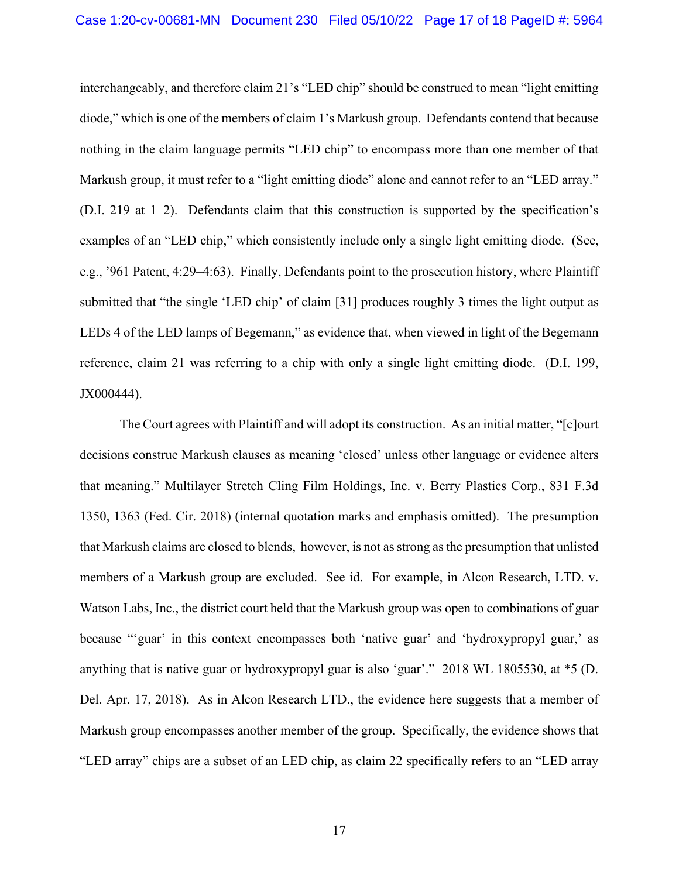interchangeably, and therefore claim 21's "LED chip" should be construed to mean "light emitting diode," which is one of the members of claim 1's Markush group. Defendants contend that because nothing in the claim language permits "LED chip" to encompass more than one member of that Markush group, it must refer to a "light emitting diode" alone and cannot refer to an "LED array." (D.I. 219 at 1–2). Defendants claim that this construction is supported by the specification's examples of an "LED chip," which consistently include only a single light emitting diode. (See, e.g., '961 Patent, 4:29–4:63). Finally, Defendants point to the prosecution history, where Plaintiff submitted that "the single 'LED chip' of claim [31] produces roughly 3 times the light output as LEDs 4 of the LED lamps of Begemann," as evidence that, when viewed in light of the Begemann reference, claim 21 was referring to a chip with only a single light emitting diode. (D.I. 199, JX000444).

The Court agrees with Plaintiff and will adopt its construction. As an initial matter, "[c]ourt decisions construe Markush clauses as meaning 'closed' unless other language or evidence alters that meaning." Multilayer Stretch Cling Film Holdings, Inc. v. Berry Plastics Corp., 831 F.3d 1350, 1363 (Fed. Cir. 2018) (internal quotation marks and emphasis omitted). The presumption that Markush claims are closed to blends, however, is not as strong as the presumption that unlisted members of a Markush group are excluded. See id. For example, in Alcon Research, LTD. v. Watson Labs, Inc., the district court held that the Markush group was open to combinations of guar because "'guar' in this context encompasses both 'native guar' and 'hydroxypropyl guar,' as anything that is native guar or hydroxypropyl guar is also 'guar'." 2018 WL 1805530, at \*5 (D. Del. Apr. 17, 2018). As in Alcon Research LTD., the evidence here suggests that a member of Markush group encompasses another member of the group. Specifically, the evidence shows that "LED array" chips are a subset of an LED chip, as claim 22 specifically refers to an "LED array